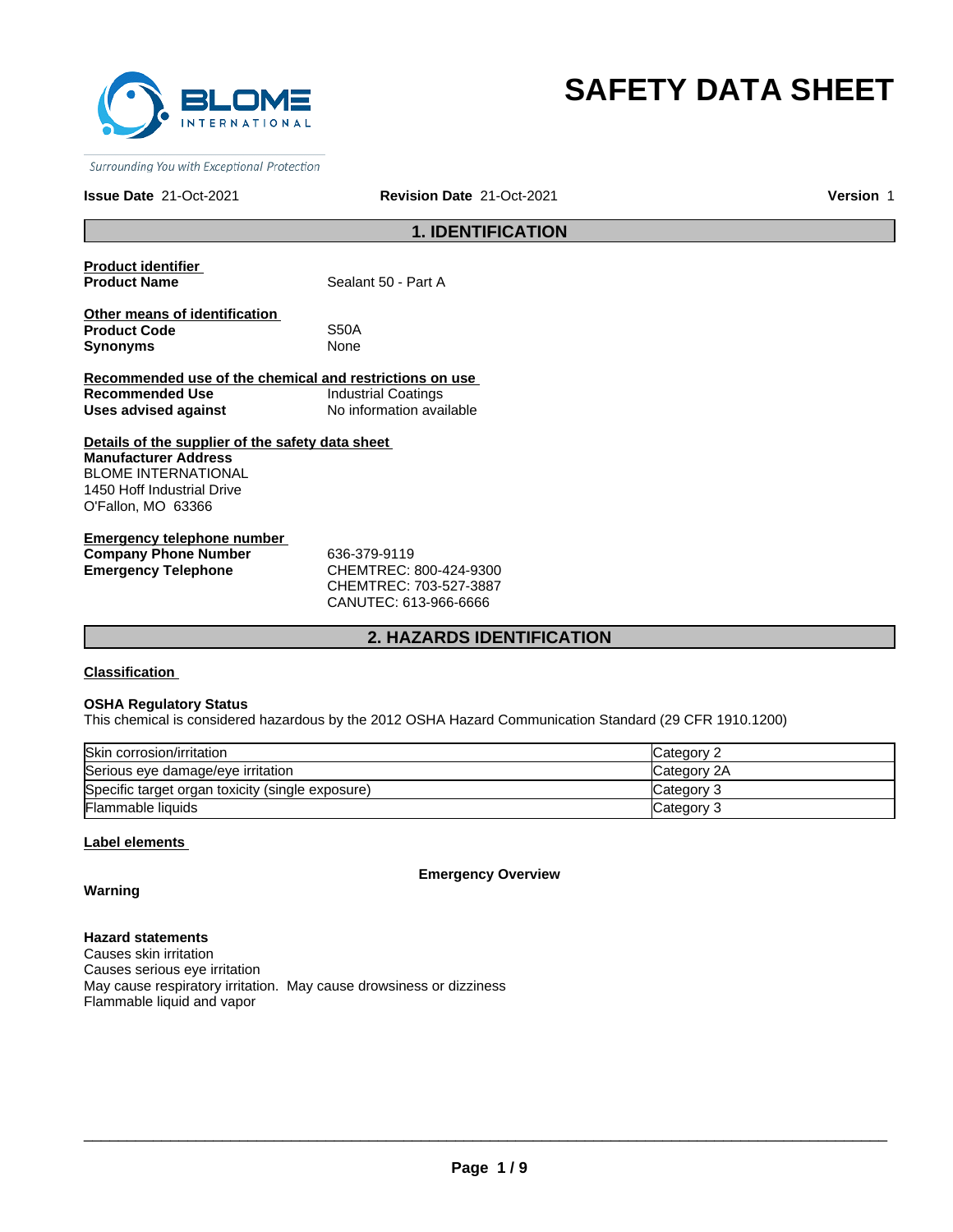

# **SAFETY DATA SHEET**

Surrounding You with Exceptional Protection

#### **Issue Date** 21-Oct-2021 **Revision Date** 21-Oct-2021 **Version** 1

# **1. IDENTIFICATION**

**Product identifier** 

Sealant 50 - Part A

**Other means of identification Product Code** S50A **Synonyms** None

**Recommended use of the chemical and restrictions on use Recommended Use Industrial Coatings<br>
Uses advised against Industrial No information ava Uses advised against** No information available

**Details of the supplier of the safety data sheet Manufacturer Address** BLOME INTERNATIONAL 1450 Hoff Industrial Drive O'Fallon, MO 63366

**Emergency telephone number Company Phone Number** 636-379-9119 **Emergency Telephone** CHEMTREC: 800-424-9300

CHEMTREC: 703-527-3887 CANUTEC: 613-966-6666

# **2. HAZARDS IDENTIFICATION**

**Classification** 

#### **OSHA Regulatory Status**

This chemical is considered hazardous by the 2012 OSHA Hazard Communication Standard (29 CFR 1910.1200)

| Skin corrosion/irritation                        | Category 2  |
|--------------------------------------------------|-------------|
| Serious eye damage/eye irritation                | Category 2A |
| Specific target organ toxicity (single exposure) | Category 3  |
| Flammable liquids                                | Category 3  |

#### **Label elements**

**Emergency Overview**

**Warning**

**Hazard statements** Causes skin irritation Causes serious eye irritation May cause respiratory irritation. May cause drowsiness or dizziness Flammable liquid and vapor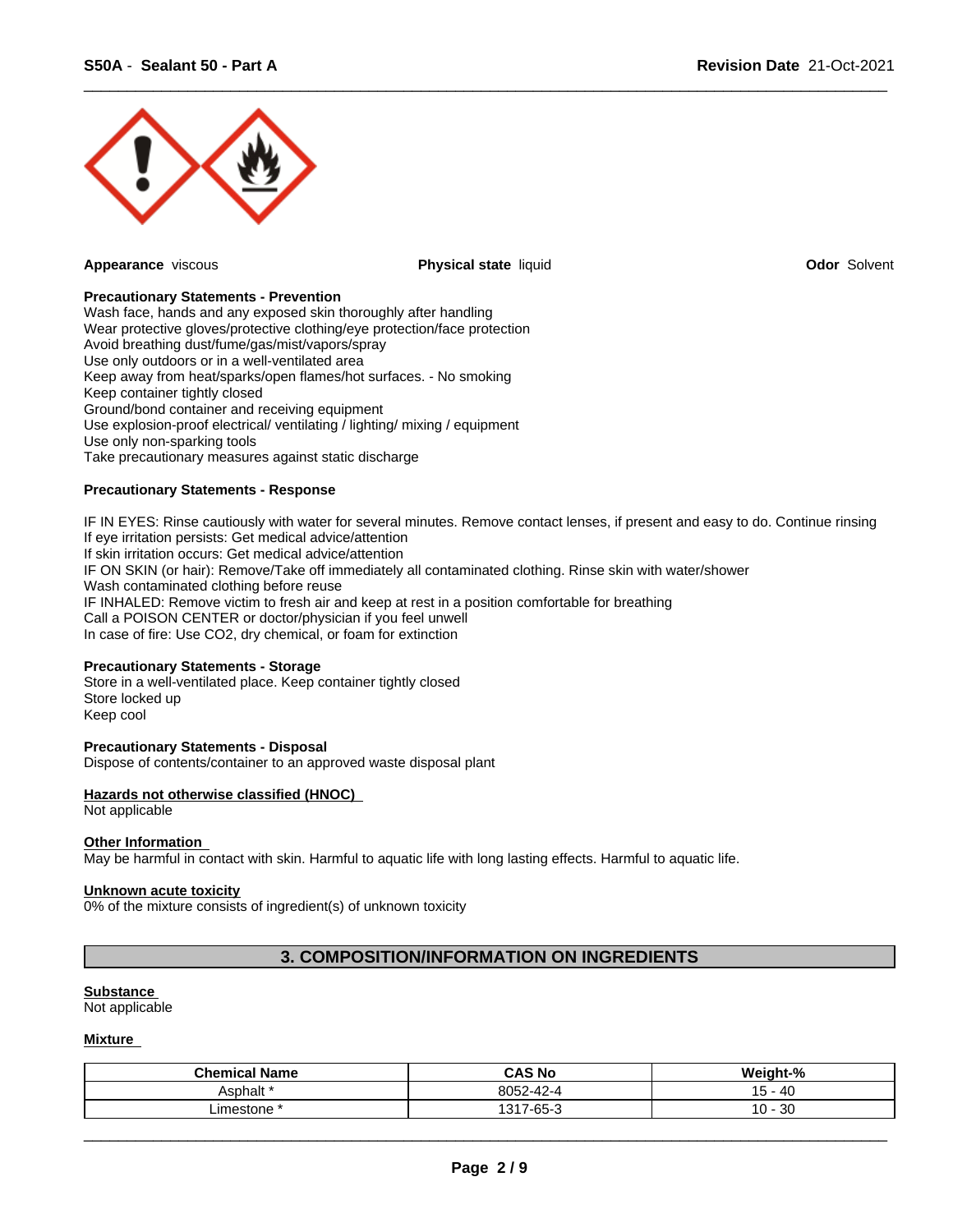

**Appearance** viscous **Physical state** liquid **Odor** Solvent

 $\overline{\phantom{a}}$  ,  $\overline{\phantom{a}}$  ,  $\overline{\phantom{a}}$  ,  $\overline{\phantom{a}}$  ,  $\overline{\phantom{a}}$  ,  $\overline{\phantom{a}}$  ,  $\overline{\phantom{a}}$  ,  $\overline{\phantom{a}}$  ,  $\overline{\phantom{a}}$  ,  $\overline{\phantom{a}}$  ,  $\overline{\phantom{a}}$  ,  $\overline{\phantom{a}}$  ,  $\overline{\phantom{a}}$  ,  $\overline{\phantom{a}}$  ,  $\overline{\phantom{a}}$  ,  $\overline{\phantom{a}}$ 

#### **Precautionary Statements - Prevention**

Wash face, hands and any exposed skin thoroughly after handling Wear protective gloves/protective clothing/eye protection/face protection Avoid breathing dust/fume/gas/mist/vapors/spray Use only outdoors or in a well-ventilated area Keep away from heat/sparks/open flames/hot surfaces. - No smoking Keep container tightly closed Ground/bond container and receiving equipment Use explosion-proof electrical/ ventilating / lighting/ mixing / equipment Use only non-sparking tools Take precautionary measures against static discharge

#### **Precautionary Statements - Response**

IF IN EYES: Rinse cautiously with water for several minutes. Remove contact lenses, if present and easy to do. Continue rinsing If eye irritation persists: Get medical advice/attention If skin irritation occurs: Get medical advice/attention IF ON SKIN (or hair): Remove/Take off immediately all contaminated clothing. Rinse skin with water/shower Wash contaminated clothing before reuse IF INHALED: Remove victim to fresh air and keep at rest in a position comfortable for breathing Call a POISON CENTER or doctor/physician if you feel unwell In case of fire: Use CO2, dry chemical, or foam for extinction

#### **Precautionary Statements - Storage**

Store in a well-ventilated place. Keep container tightly closed Store locked up Keep cool

#### **Precautionary Statements - Disposal**

Dispose of contents/container to an approved waste disposal plant

# **Hazards not otherwise classified (HNOC)**

Not applicable

#### **Other Information**

May be harmful in contact with skin. Harmful to aquatic life with long lasting effects. Harmful to aquatic life.

#### **Unknown acute toxicity**

0% of the mixture consists of ingredient(s) of unknown toxicity

# **3. COMPOSITION/INFORMATION ON INGREDIENTS**

#### **Substance**

Not applicable

#### **Mixture**

| <b>Chemical Name</b> | <b>CAS No</b>                   | ht-%<br><br>- Weigh |
|----------------------|---------------------------------|---------------------|
| Asphalt '            | 00F<br>8052-42-4                | - 40<br>ັ           |
| _imestone            | $\sim$ $\sim$<br>1947<br>7-65-1 | 30<br>$\sim$<br>◡   |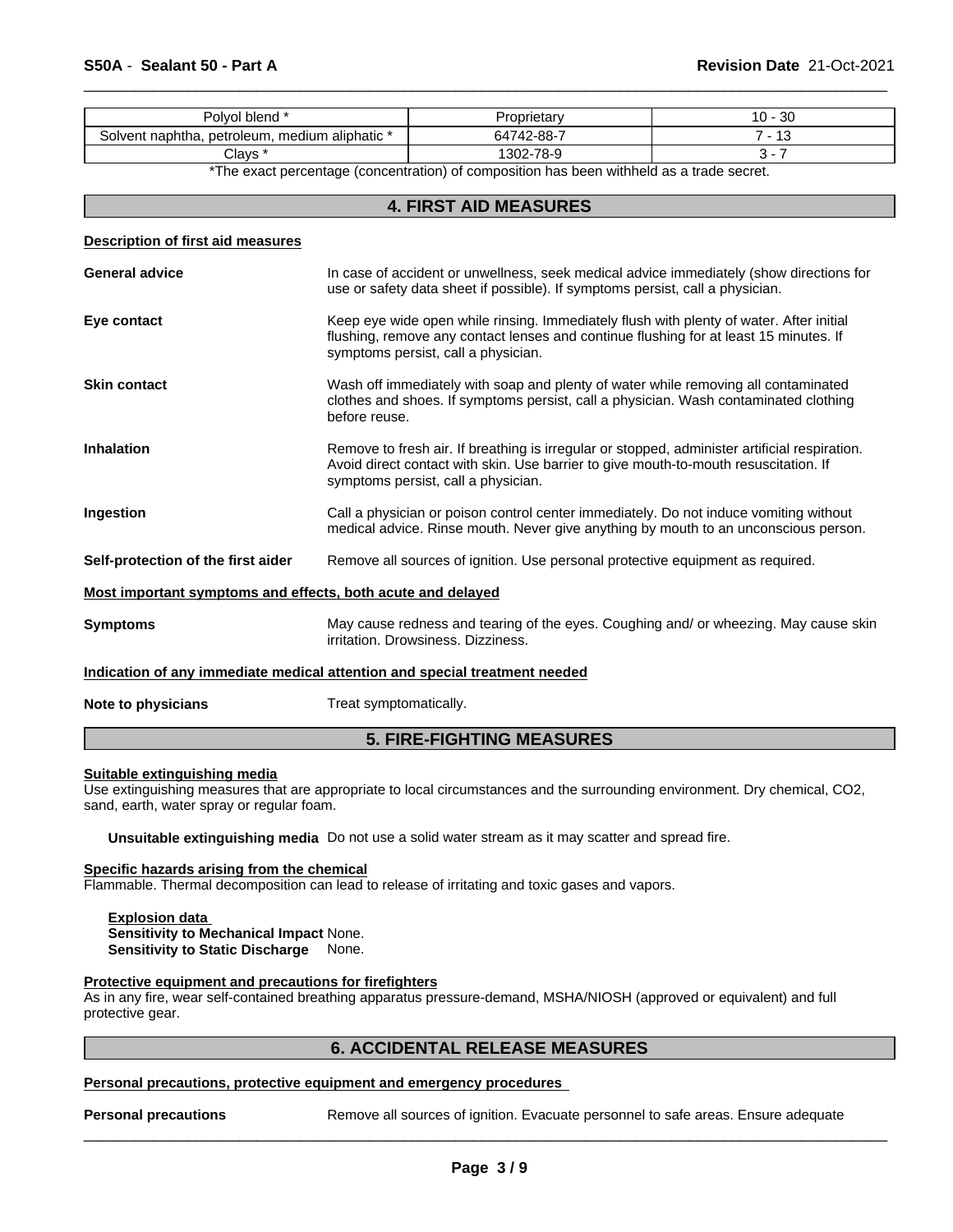| ⊦blend<br>Polvol                                                  | .∪prietar <sup>,</sup>     | $\Omega$<br>. u -<br>υc |
|-------------------------------------------------------------------|----------------------------|-------------------------|
| naphtha.<br>$\lq$ aliphatic $\lq$<br>petroleum, medium<br>Solvent | -<br>'42-88-'<br>7 Л<br>ห⁄ | w                       |
| Clavs                                                             | 302-78-9                   |                         |

 $\overline{\phantom{a}}$  ,  $\overline{\phantom{a}}$  ,  $\overline{\phantom{a}}$  ,  $\overline{\phantom{a}}$  ,  $\overline{\phantom{a}}$  ,  $\overline{\phantom{a}}$  ,  $\overline{\phantom{a}}$  ,  $\overline{\phantom{a}}$  ,  $\overline{\phantom{a}}$  ,  $\overline{\phantom{a}}$  ,  $\overline{\phantom{a}}$  ,  $\overline{\phantom{a}}$  ,  $\overline{\phantom{a}}$  ,  $\overline{\phantom{a}}$  ,  $\overline{\phantom{a}}$  ,  $\overline{\phantom{a}}$ 

\*The exact percentage (concentration) of composition has been withheld as a trade secret.

# **4. FIRST AID MEASURES**

#### **Description of first aid measures**

|                                                                                                                                               | <b>5. FIRE-FIGHTING MEASURES</b>                                                                                                                                                                                             |
|-----------------------------------------------------------------------------------------------------------------------------------------------|------------------------------------------------------------------------------------------------------------------------------------------------------------------------------------------------------------------------------|
| Note to physicians                                                                                                                            | Treat symptomatically.                                                                                                                                                                                                       |
|                                                                                                                                               | Indication of any immediate medical attention and special treatment needed                                                                                                                                                   |
| May cause redness and tearing of the eyes. Coughing and/ or wheezing. May cause skin<br><b>Symptoms</b><br>irritation. Drowsiness. Dizziness. |                                                                                                                                                                                                                              |
| Most important symptoms and effects, both acute and delayed                                                                                   |                                                                                                                                                                                                                              |
| Self-protection of the first aider                                                                                                            | Remove all sources of ignition. Use personal protective equipment as required.                                                                                                                                               |
| Ingestion                                                                                                                                     | Call a physician or poison control center immediately. Do not induce vomiting without<br>medical advice. Rinse mouth. Never give anything by mouth to an unconscious person.                                                 |
| <b>Inhalation</b>                                                                                                                             | Remove to fresh air. If breathing is irregular or stopped, administer artificial respiration.<br>Avoid direct contact with skin. Use barrier to give mouth-to-mouth resuscitation. If<br>symptoms persist, call a physician. |
| <b>Skin contact</b>                                                                                                                           | Wash off immediately with soap and plenty of water while removing all contaminated<br>clothes and shoes. If symptoms persist, call a physician. Wash contaminated clothing<br>before reuse.                                  |
| Eye contact                                                                                                                                   | Keep eye wide open while rinsing. Immediately flush with plenty of water. After initial<br>flushing, remove any contact lenses and continue flushing for at least 15 minutes. If<br>symptoms persist, call a physician.      |
| <b>General advice</b>                                                                                                                         | In case of accident or unwellness, seek medical advice immediately (show directions for<br>use or safety data sheet if possible). If symptoms persist, call a physician.                                                     |
|                                                                                                                                               |                                                                                                                                                                                                                              |

#### **Suitable extinguishing media**

Use extinguishing measures that are appropriate to local circumstances and the surrounding environment. Dry chemical, CO2, sand, earth, water spray or regular foam.

**Unsuitable extinguishing media** Do not use a solid water stream as it may scatter and spread fire.

#### **Specific hazards arising from the chemical**

Flammable. Thermal decomposition can lead to release of irritating and toxic gases and vapors.

#### **Explosion data Sensitivity to Mechanical Impact** None. **Sensitivity to Static Discharge** None.

#### **Protective equipment and precautions for firefighters**

As in any fire, wear self-contained breathing apparatus pressure-demand, MSHA/NIOSH (approved or equivalent) and full protective gear.

# **6. ACCIDENTAL RELEASE MEASURES**

#### **Personal precautions, protective equipment and emergency procedures**

**Personal precautions** Remove all sources of ignition. Evacuate personnel to safe areas. Ensure adequate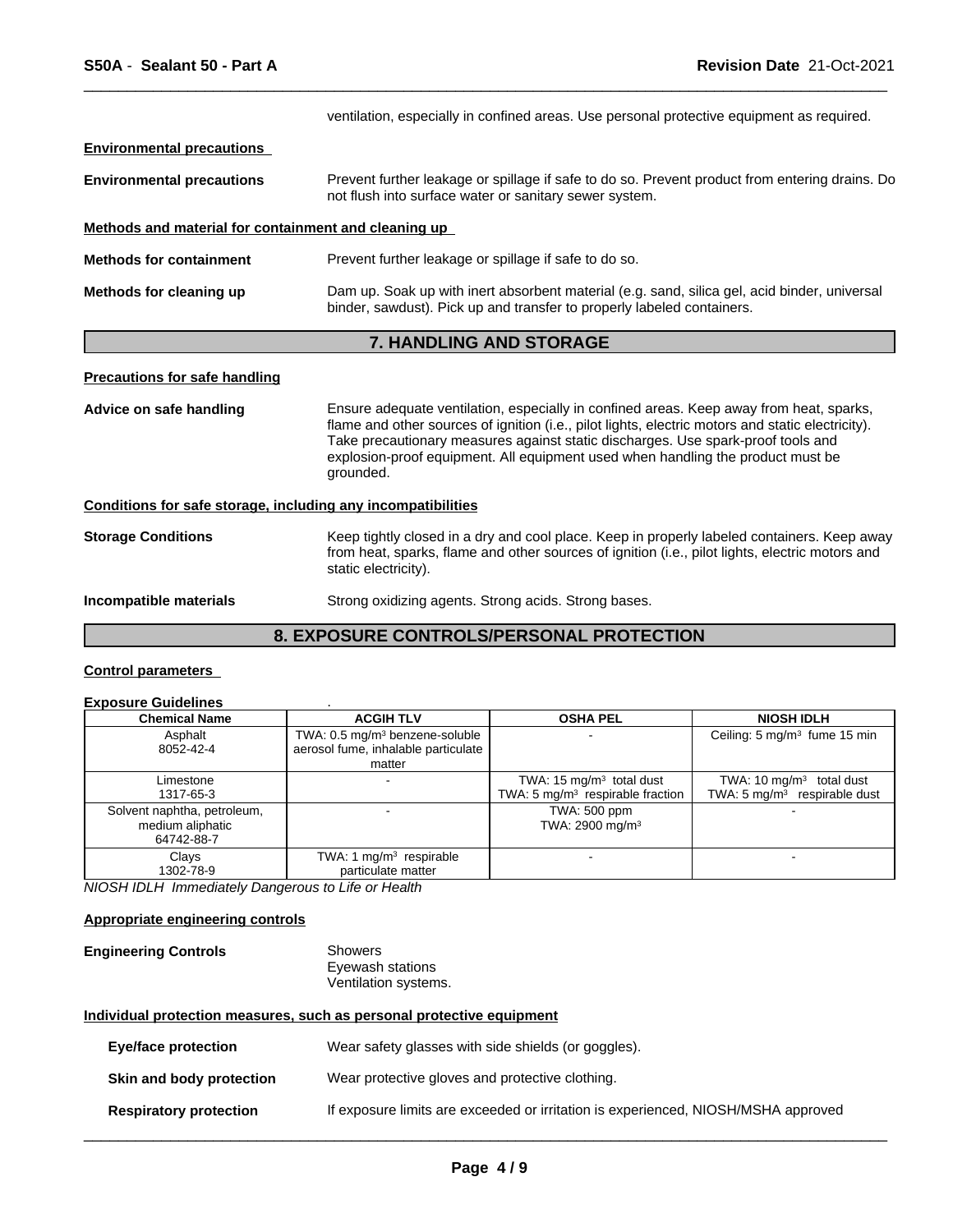|                                                      | ventilation, especially in confined areas. Use personal protective equipment as required.                                                                                                    |
|------------------------------------------------------|----------------------------------------------------------------------------------------------------------------------------------------------------------------------------------------------|
| <b>Environmental precautions</b>                     |                                                                                                                                                                                              |
| <b>Environmental precautions</b>                     | Prevent further leakage or spillage if safe to do so. Prevent product from entering drains. Do<br>not flush into surface water or sanitary sewer system.                                     |
| Methods and material for containment and cleaning up |                                                                                                                                                                                              |
| <b>Methods for containment</b>                       | Prevent further leakage or spillage if safe to do so.                                                                                                                                        |
| Methods for cleaning up                              | Dam up. Soak up with inert absorbent material (e.g. sand, silica gel, acid binder, universal<br>binder, sawdust). Pick up and transfer to properly labeled containers.                       |
|                                                      | 7. HANDLING AND STORAGE                                                                                                                                                                      |
| <b>Precautions for safe handling</b>                 |                                                                                                                                                                                              |
| Advice on safe handling                              | Ensure adequate ventilation, especially in confined areas. Keep away from heat, sparks,<br>flame and other sources of ignition (i.e., pilot lights, electric motors and static electricity). |

 $\overline{\phantom{a}}$  ,  $\overline{\phantom{a}}$  ,  $\overline{\phantom{a}}$  ,  $\overline{\phantom{a}}$  ,  $\overline{\phantom{a}}$  ,  $\overline{\phantom{a}}$  ,  $\overline{\phantom{a}}$  ,  $\overline{\phantom{a}}$  ,  $\overline{\phantom{a}}$  ,  $\overline{\phantom{a}}$  ,  $\overline{\phantom{a}}$  ,  $\overline{\phantom{a}}$  ,  $\overline{\phantom{a}}$  ,  $\overline{\phantom{a}}$  ,  $\overline{\phantom{a}}$  ,  $\overline{\phantom{a}}$ 

flame and other sources of ignition (i.e., pilot lights, electric motors and static electricity). Take precautionary measures against static discharges. Use spark-proof tools and explosion-proof equipment. All equipment used when handling the product must be grounded.

**Conditions for safe storage, including any incompatibilities**

**Storage Conditions** Keep tightly closed in a dry and cool place. Keep in properly labeled containers. Keep away from heat, sparks, flame and other sources of ignition (i.e., pilot lights, electric motors and static electricity).

#### **Incompatible materials** Strong oxidizing agents. Strong acids. Strong bases.

# **8. EXPOSURE CONTROLS/PERSONAL PROTECTION**

#### **Control parameters**

# **Exposure Guidelines** .

| <b>Chemical Name</b>               | <b>ACGIH TLV</b>                           | <b>OSHA PEL</b>                      | <b>NIOSH IDLH</b>                        |  |
|------------------------------------|--------------------------------------------|--------------------------------------|------------------------------------------|--|
| Asphalt                            | TWA: 0.5 mg/m <sup>3</sup> benzene-soluble |                                      | Ceiling: 5 mg/m <sup>3</sup> fume 15 min |  |
| 8052-42-4                          | aerosol fume, inhalable particulate        |                                      |                                          |  |
|                                    | matter                                     |                                      |                                          |  |
| Limestone                          |                                            | TWA: 15 mg/m <sup>3</sup> total dust | TWA: 10 $mq/m3$ total dust               |  |
| 1317-65-3                          |                                            | TWA: 5 $mg/m3$ respirable fraction   | TWA: $5 \text{ mg/m}^3$ respirable dust  |  |
| Solvent naphtha, petroleum,        |                                            | TWA: 500 ppm                         |                                          |  |
| medium aliphatic                   |                                            | TWA: 2900 mg/m <sup>3</sup>          |                                          |  |
| 64742-88-7                         |                                            |                                      |                                          |  |
| TWA: 1 $mg/m3$ respirable<br>Clays |                                            |                                      |                                          |  |
| 1302-78-9                          | particulate matter                         |                                      |                                          |  |

*NIOSH IDLH Immediately Dangerous to Life or Health*

#### **Appropriate engineering controls**

| <b>Engineering Controls</b> | Showers              |  |
|-----------------------------|----------------------|--|
|                             | Eyewash stations     |  |
|                             | Ventilation systems. |  |

#### **Individual protection measures, such as personal protective equipment**

| Eye/face protection           | Wear safety glasses with side shields (or goggles).                               |
|-------------------------------|-----------------------------------------------------------------------------------|
| Skin and body protection      | Wear protective gloves and protective clothing.                                   |
| <b>Respiratory protection</b> | If exposure limits are exceeded or irritation is experienced, NIOSH/MSHA approved |
|                               |                                                                                   |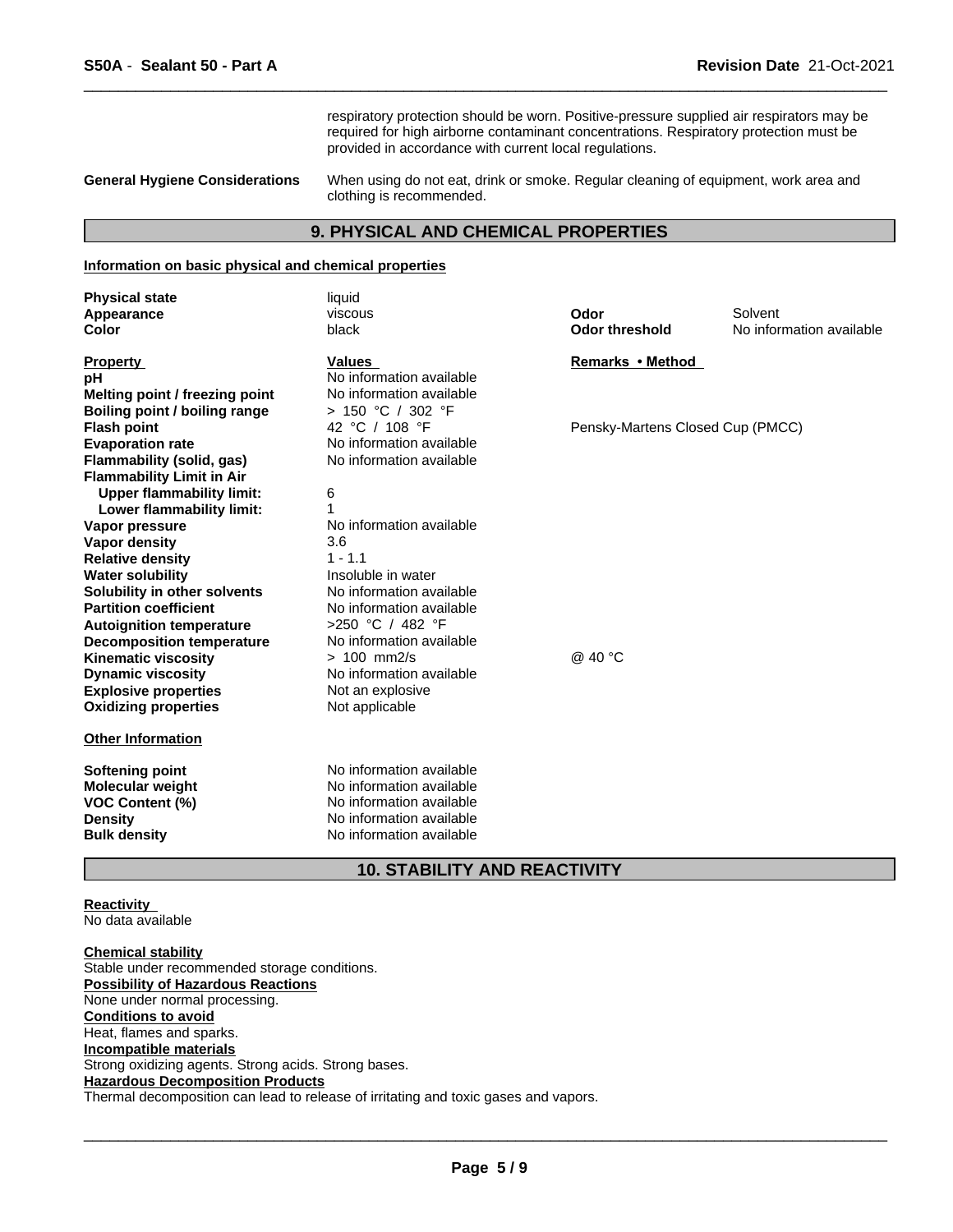respiratory protection should be worn. Positive-pressure supplied air respirators may be required for high airborne contaminant concentrations. Respiratory protection must be provided in accordance with current local regulations.

 $\overline{\phantom{a}}$  ,  $\overline{\phantom{a}}$  ,  $\overline{\phantom{a}}$  ,  $\overline{\phantom{a}}$  ,  $\overline{\phantom{a}}$  ,  $\overline{\phantom{a}}$  ,  $\overline{\phantom{a}}$  ,  $\overline{\phantom{a}}$  ,  $\overline{\phantom{a}}$  ,  $\overline{\phantom{a}}$  ,  $\overline{\phantom{a}}$  ,  $\overline{\phantom{a}}$  ,  $\overline{\phantom{a}}$  ,  $\overline{\phantom{a}}$  ,  $\overline{\phantom{a}}$  ,  $\overline{\phantom{a}}$ 

**General Hygiene Considerations** When using do not eat, drink or smoke. Regular cleaning of equipment, work area and clothing is recommended.

# **9. PHYSICAL AND CHEMICAL PROPERTIES**

#### **Information on basic physical and chemical properties**

| <b>Physical state</b>                                      | liquid                                    |                                  |                          |
|------------------------------------------------------------|-------------------------------------------|----------------------------------|--------------------------|
| Appearance                                                 | viscous                                   | Odor                             | Solvent                  |
| <b>Color</b>                                               | black                                     | <b>Odor threshold</b>            | No information available |
| <b>Property</b>                                            | <b>Values</b>                             | Remarks • Method                 |                          |
| рH                                                         | No information available                  |                                  |                          |
| Melting point / freezing point                             | No information available                  |                                  |                          |
| Boiling point / boiling range                              | > 150 °C / 302 °F                         |                                  |                          |
| <b>Flash point</b>                                         | 42 °C / 108 °F                            | Pensky-Martens Closed Cup (PMCC) |                          |
| <b>Evaporation rate</b>                                    | No information available                  |                                  |                          |
| Flammability (solid, gas)                                  | No information available                  |                                  |                          |
| <b>Flammability Limit in Air</b>                           |                                           |                                  |                          |
| <b>Upper flammability limit:</b>                           | 6                                         |                                  |                          |
| Lower flammability limit:                                  |                                           |                                  |                          |
| Vapor pressure                                             | No information available                  |                                  |                          |
| Vapor density                                              | 3.6                                       |                                  |                          |
| <b>Relative density</b>                                    | $1 - 1.1$                                 |                                  |                          |
| <b>Water solubility</b>                                    | Insoluble in water                        |                                  |                          |
| Solubility in other solvents                               | No information available                  |                                  |                          |
| <b>Partition coefficient</b>                               | No information available                  |                                  |                          |
| <b>Autoignition temperature</b>                            | >250 °C / 482 °F                          |                                  |                          |
| <b>Decomposition temperature</b>                           | No information available<br>$> 100$ mm2/s | @ 40 °C                          |                          |
| <b>Kinematic viscosity</b>                                 | No information available                  |                                  |                          |
| Dynamic viscosity                                          |                                           |                                  |                          |
| <b>Explosive properties</b><br><b>Oxidizing properties</b> | Not an explosive<br>Not applicable        |                                  |                          |
|                                                            |                                           |                                  |                          |
| <b>Other Information</b>                                   |                                           |                                  |                          |
| Softening point                                            | No information available                  |                                  |                          |
| Molecular weight                                           | No information available                  |                                  |                          |
| <b>VOC Content (%)</b>                                     | No information available                  |                                  |                          |
| <b>Density</b>                                             | No information available                  |                                  |                          |
| <b>Bulk density</b>                                        | No information available                  |                                  |                          |
|                                                            |                                           |                                  |                          |

# **10. STABILITY AND REACTIVITY**

**Reactivity**  No data available

**Chemical stability** Stable under recommended storage conditions. **Possibility of Hazardous Reactions** None under normal processing. **Conditions to avoid** Heat, flames and sparks. **Incompatible materials** Strong oxidizing agents. Strong acids. Strong bases. **Hazardous Decomposition Products** Thermal decomposition can lead to release of irritating and toxic gases and vapors.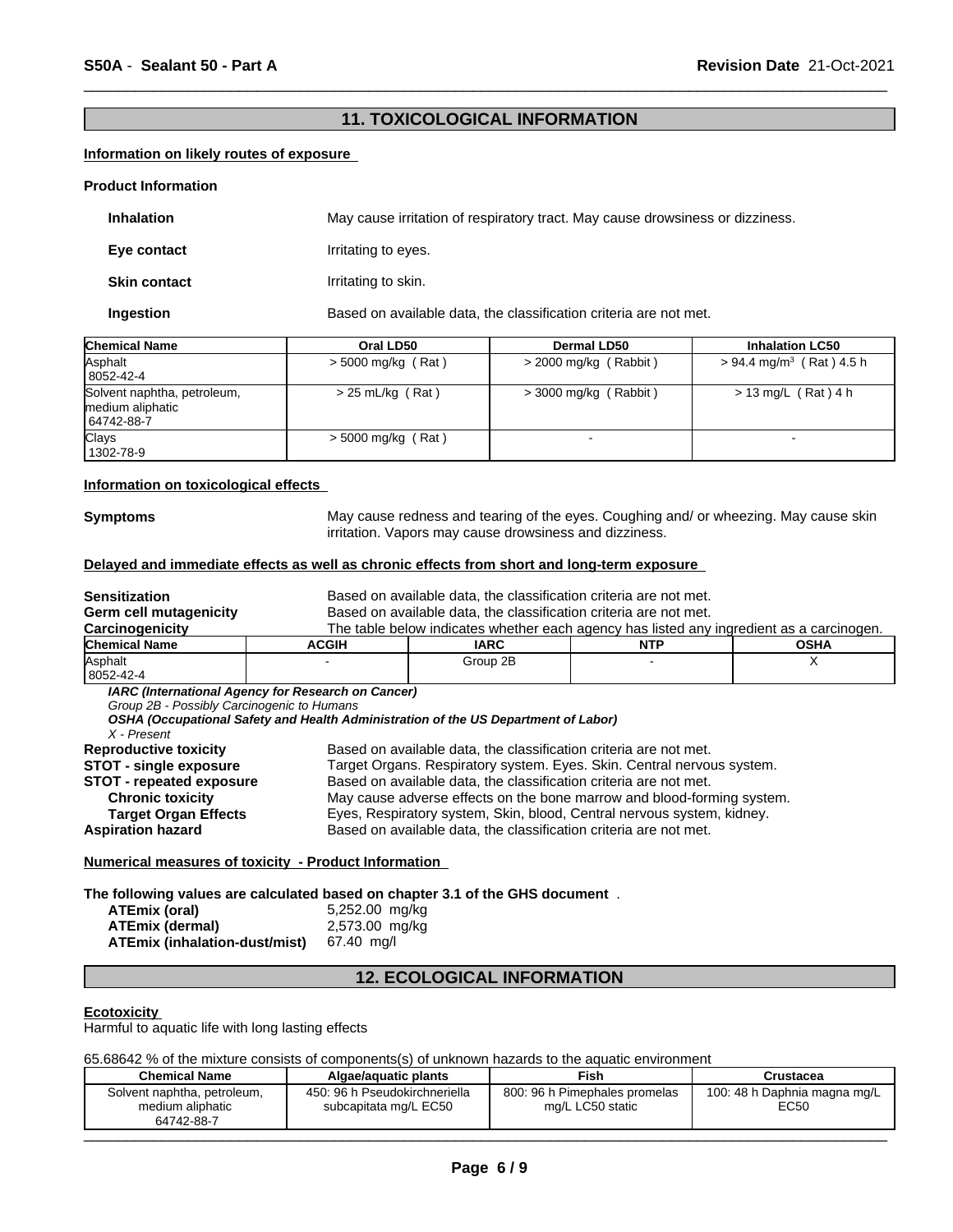# **11. TOXICOLOGICAL INFORMATION**

 $\overline{\phantom{a}}$  ,  $\overline{\phantom{a}}$  ,  $\overline{\phantom{a}}$  ,  $\overline{\phantom{a}}$  ,  $\overline{\phantom{a}}$  ,  $\overline{\phantom{a}}$  ,  $\overline{\phantom{a}}$  ,  $\overline{\phantom{a}}$  ,  $\overline{\phantom{a}}$  ,  $\overline{\phantom{a}}$  ,  $\overline{\phantom{a}}$  ,  $\overline{\phantom{a}}$  ,  $\overline{\phantom{a}}$  ,  $\overline{\phantom{a}}$  ,  $\overline{\phantom{a}}$  ,  $\overline{\phantom{a}}$ 

# **Information on likely routes of exposure**

#### **Product Information**

| <b>Inhalation</b>   | May cause irritation of respiratory tract. May cause drowsiness or dizziness. |
|---------------------|-------------------------------------------------------------------------------|
| Eye contact         | Irritating to eyes.                                                           |
| <b>Skin contact</b> | Irritating to skin.                                                           |
| Ingestion           | Based on available data, the classification criteria are not met.             |

| <b>Chemical Name</b>                                          | Oral LD50            | <b>Dermal LD50</b>      | <b>Inhalation LC50</b>                 |
|---------------------------------------------------------------|----------------------|-------------------------|----------------------------------------|
| Asphalt<br>  8052-42-4                                        | $>$ 5000 mg/kg (Rat) | $>$ 2000 mg/kg (Rabbit) | $> 94.4$ mg/m <sup>3</sup> (Rat) 4.5 h |
| Solvent naphtha, petroleum,<br>medium aliphatic<br>64742-88-7 | $> 25$ mL/kg (Rat)   | $>$ 3000 mg/kg (Rabbit) | $> 13$ mg/L (Rat) 4 h                  |
| <b>Clays</b><br>1302-78-9                                     | $>$ 5000 mg/kg (Rat) |                         |                                        |

#### **Information on toxicological effects**

**Symptoms** May cause redness and tearing of the eyes. Coughing and/ or wheezing. May cause skin irritation. Vapors may cause drowsiness and dizziness.

#### **Delayed and immediate effects as well as chronic effects from short and long-term exposure**

| Sensitization                                                                                                                                                                   | Based on available data, the classification criteria are not met.                                                                        |                                                                                                                                                                                                                                                                                                                                                                                                                                           |            |                                                                                          |  |
|---------------------------------------------------------------------------------------------------------------------------------------------------------------------------------|------------------------------------------------------------------------------------------------------------------------------------------|-------------------------------------------------------------------------------------------------------------------------------------------------------------------------------------------------------------------------------------------------------------------------------------------------------------------------------------------------------------------------------------------------------------------------------------------|------------|------------------------------------------------------------------------------------------|--|
| Germ cell mutagenicity                                                                                                                                                          | Based on available data, the classification criteria are not met.                                                                        |                                                                                                                                                                                                                                                                                                                                                                                                                                           |            |                                                                                          |  |
| Carcinogenicity                                                                                                                                                                 |                                                                                                                                          |                                                                                                                                                                                                                                                                                                                                                                                                                                           |            | The table below indicates whether each agency has listed any ingredient as a carcinogen. |  |
| <b>Chemical Name</b>                                                                                                                                                            | <b>ACGIH</b>                                                                                                                             | <b>IARC</b>                                                                                                                                                                                                                                                                                                                                                                                                                               | <b>NTP</b> | <b>OSHA</b>                                                                              |  |
| Asphalt                                                                                                                                                                         |                                                                                                                                          | Group 2B                                                                                                                                                                                                                                                                                                                                                                                                                                  |            | х                                                                                        |  |
| 8052-42-4                                                                                                                                                                       |                                                                                                                                          |                                                                                                                                                                                                                                                                                                                                                                                                                                           |            |                                                                                          |  |
| Group 2B - Possibly Carcinogenic to Humans<br>X - Present                                                                                                                       | IARC (International Agency for Research on Cancer)<br>OSHA (Occupational Safety and Health Administration of the US Department of Labor) |                                                                                                                                                                                                                                                                                                                                                                                                                                           |            |                                                                                          |  |
| <b>Reproductive toxicity</b><br><b>STOT - single exposure</b><br><b>STOT - repeated exposure</b><br><b>Chronic toxicity</b><br><b>Target Organ Effects</b><br>Aspiration hazard |                                                                                                                                          | Based on available data, the classification criteria are not met.<br>Target Organs. Respiratory system. Eyes. Skin. Central nervous system.<br>Based on available data, the classification criteria are not met.<br>May cause adverse effects on the bone marrow and blood-forming system.<br>Eyes, Respiratory system, Skin, blood, Central nervous system, kidney.<br>Based on available data, the classification criteria are not met. |            |                                                                                          |  |

**Numerical measures of toxicity - Product Information** 

#### **The following values are calculated based on chapter 3.1 of the GHS document** .

| ATEmix (oral)                        | 5,252.00 mg/kg |
|--------------------------------------|----------------|
| <b>ATEmix (dermal)</b>               | 2,573.00 mg/kg |
| <b>ATEmix (inhalation-dust/mist)</b> | 67.40 ma/l     |

# **12. ECOLOGICAL INFORMATION**

#### **Ecotoxicity**

Harmful to aquatic life with long lasting effects

65.68642 % of the mixture consists of components(s) of unknown hazards to the aquatic environment

| Solvent naphtha, petroleum,<br>800: 96 h Pimephales promelas<br>450: 96 h Pseudokirchneriella<br>100: 48 h Daphnia magna mg/L<br>EC50<br>subcapitata mg/L EC50<br>mg/L LC50 static<br>medium aliphatic<br>64742-88-7 | <b>Chemical Name</b> | Algae/aquatic plants | <b>Fish</b> | Crustacea |
|----------------------------------------------------------------------------------------------------------------------------------------------------------------------------------------------------------------------|----------------------|----------------------|-------------|-----------|
|                                                                                                                                                                                                                      |                      |                      |             |           |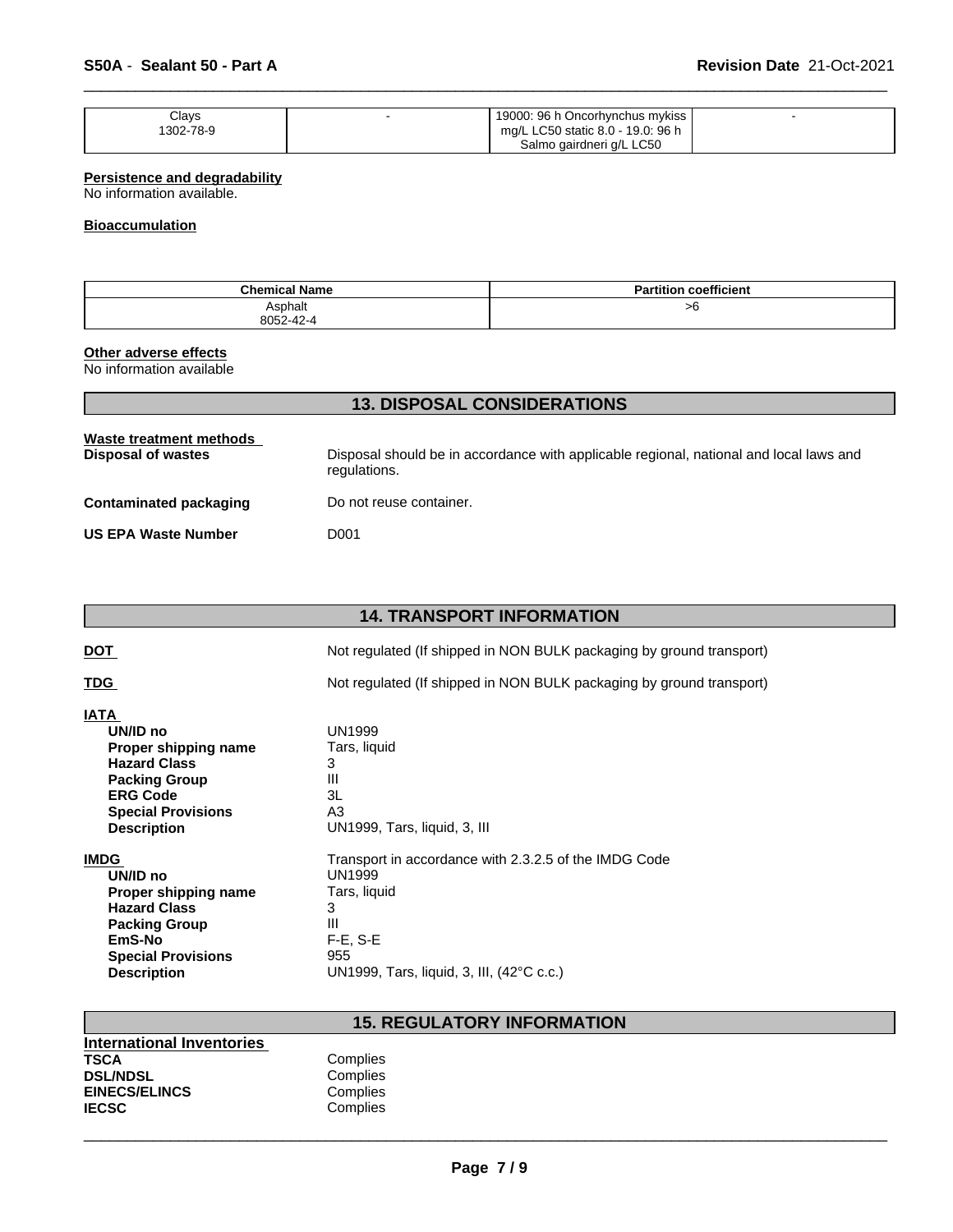| Clays     | 19000: 96 h Oncorhynchus mykiss   |  |
|-----------|-----------------------------------|--|
| 1302-78-9 | mg/L LC50 static 8.0 - 19.0: 96 h |  |
|           | Salmo gairdneri g/L LC50          |  |

 $\overline{\phantom{a}}$  ,  $\overline{\phantom{a}}$  ,  $\overline{\phantom{a}}$  ,  $\overline{\phantom{a}}$  ,  $\overline{\phantom{a}}$  ,  $\overline{\phantom{a}}$  ,  $\overline{\phantom{a}}$  ,  $\overline{\phantom{a}}$  ,  $\overline{\phantom{a}}$  ,  $\overline{\phantom{a}}$  ,  $\overline{\phantom{a}}$  ,  $\overline{\phantom{a}}$  ,  $\overline{\phantom{a}}$  ,  $\overline{\phantom{a}}$  ,  $\overline{\phantom{a}}$  ,  $\overline{\phantom{a}}$ 

# **Persistence and degradability**

No information available.

# **Bioaccumulation**

| Chemica.<br><sup>니</sup> Name | $\overline{\phantom{a}}$<br>coefficient<br>Partition |
|-------------------------------|------------------------------------------------------|
| Asphalt                       | >6                                                   |
| 8052-42-                      |                                                      |

# **Other adverse effects**

No information available

| <b>13. DISPOSAL CONSIDERATIONS</b>            |                                                                                                        |  |  |
|-----------------------------------------------|--------------------------------------------------------------------------------------------------------|--|--|
| Waste treatment methods<br>Disposal of wastes | Disposal should be in accordance with applicable regional, national and local laws and<br>regulations. |  |  |
| Contaminated packaging                        | Do not reuse container.                                                                                |  |  |
| <b>US EPA Waste Number</b>                    | D001                                                                                                   |  |  |

# **14. TRANSPORT INFORMATION**

**DOT** Not regulated (If shipped in NON BULK packaging by ground transport)

**TDG** Not regulated (If shipped in NON BULK packaging by ground transport)

| IATA                      |                                                       |
|---------------------------|-------------------------------------------------------|
| UN/ID no                  | UN1999                                                |
| Proper shipping name      | Tars, liquid                                          |
| <b>Hazard Class</b>       | 3                                                     |
| <b>Packing Group</b>      | Ш                                                     |
| <b>ERG Code</b>           | 3L                                                    |
| <b>Special Provisions</b> | A3                                                    |
| <b>Description</b>        | UN1999, Tars, liquid, 3, III                          |
| <b>IMDG</b>               | Transport in accordance with 2.3.2.5 of the IMDG Code |
| UN/ID no                  | UN1999                                                |
| Proper shipping name      | Tars, liquid                                          |
| <b>Hazard Class</b>       | 3                                                     |
| <b>Packing Group</b>      | Ш                                                     |
| EmS-No                    | $F-E. S-E$                                            |
| <b>Special Provisions</b> | 955                                                   |
| <b>Description</b>        | UN1999, Tars, liquid, 3, III, (42°C c.c.)             |

Complies **Complies** Complies Complies

# **15. REGULATORY INFORMATION**

| International Inventories |     |
|---------------------------|-----|
| <b>TSCA</b>               | Cor |
| <b>DSL/NDSL</b>           | Cor |
| <b>EINECS/ELINCS</b>      | Cor |
| <b>IECSC</b>              | Cor |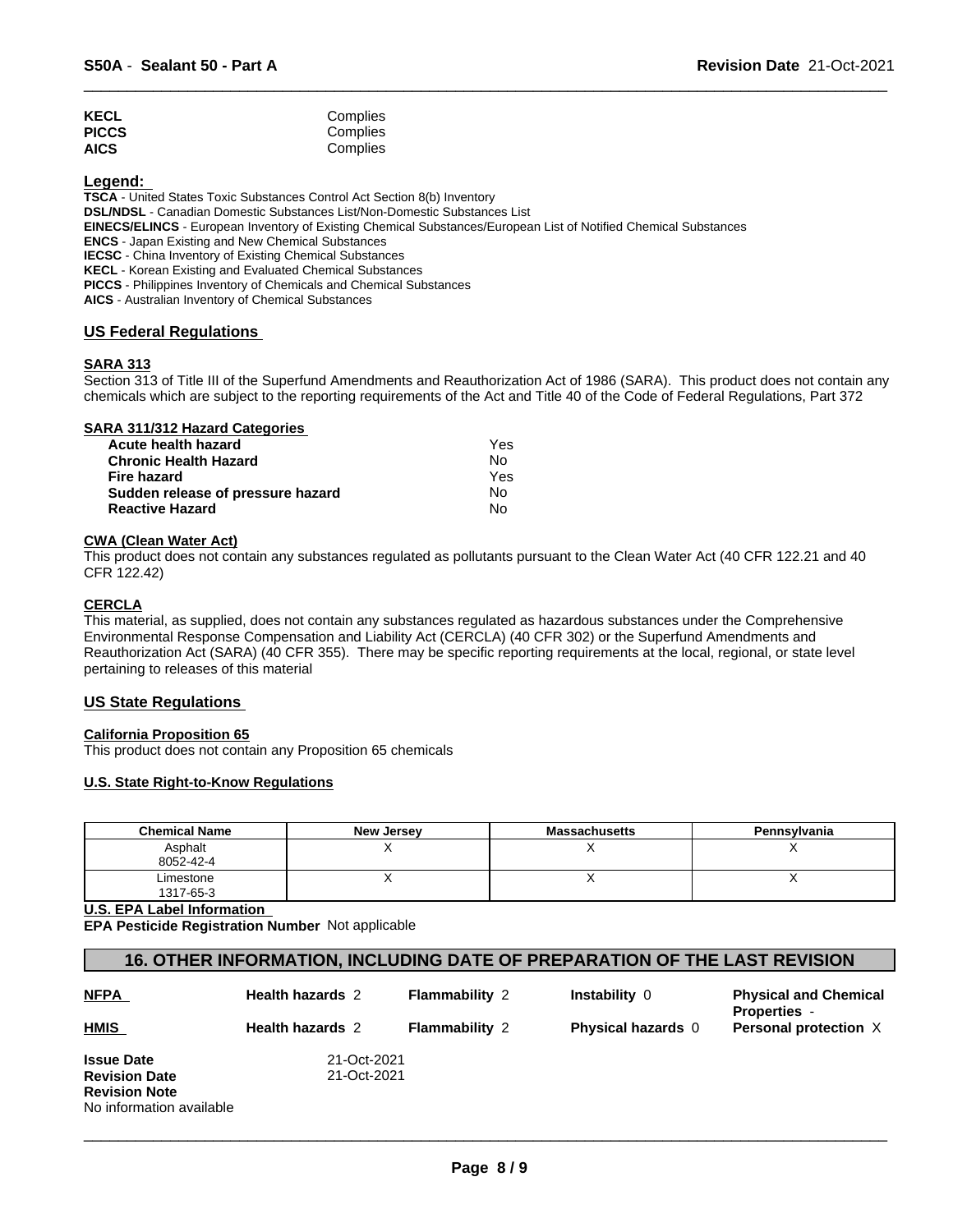| <b>KECL</b>  | Complies |
|--------------|----------|
| <b>PICCS</b> | Complies |
| <b>AICS</b>  | Complies |

**Legend:** 

**TSCA** - United States Toxic Substances Control Act Section 8(b) Inventory

**DSL/NDSL** - Canadian Domestic Substances List/Non-Domestic Substances List

**EINECS/ELINCS** - European Inventory of Existing Chemical Substances/European List of Notified Chemical Substances

**ENCS** - Japan Existing and New Chemical Substances

**IECSC** - China Inventory of Existing Chemical Substances

**KECL** - Korean Existing and Evaluated Chemical Substances

**PICCS** - Philippines Inventory of Chemicals and Chemical Substances

**AICS** - Australian Inventory of Chemical Substances

#### **US Federal Regulations**

#### **SARA 313**

Section 313 of Title III of the Superfund Amendments and Reauthorization Act of 1986 (SARA). This product does not contain any chemicals which are subject to the reporting requirements of the Act and Title 40 of the Code of Federal Regulations, Part 372

 $\overline{\phantom{a}}$  ,  $\overline{\phantom{a}}$  ,  $\overline{\phantom{a}}$  ,  $\overline{\phantom{a}}$  ,  $\overline{\phantom{a}}$  ,  $\overline{\phantom{a}}$  ,  $\overline{\phantom{a}}$  ,  $\overline{\phantom{a}}$  ,  $\overline{\phantom{a}}$  ,  $\overline{\phantom{a}}$  ,  $\overline{\phantom{a}}$  ,  $\overline{\phantom{a}}$  ,  $\overline{\phantom{a}}$  ,  $\overline{\phantom{a}}$  ,  $\overline{\phantom{a}}$  ,  $\overline{\phantom{a}}$ 

# **SARA 311/312 Hazard Categories**

| Acute health hazard               | Yes |  |
|-----------------------------------|-----|--|
| Chronic Health Hazard             | No. |  |
| Fire hazard                       | Yes |  |
| Sudden release of pressure hazard | No. |  |
| <b>Reactive Hazard</b>            | N٥  |  |

#### **CWA (Clean Water Act)**

This product does not contain any substances regulated as pollutants pursuant to the Clean Water Act (40 CFR 122.21 and 40 CFR 122.42)

#### **CERCLA**

This material, as supplied, does not contain any substances regulated as hazardous substances under the Comprehensive Environmental Response Compensation and Liability Act (CERCLA) (40 CFR 302) or the Superfund Amendments and Reauthorization Act (SARA) (40 CFR 355). There may be specific reporting requirements at the local, regional, or state level pertaining to releases of this material

# **US State Regulations**

#### **California Proposition 65**

This product does not contain any Proposition 65 chemicals

#### **U.S. State Right-to-Know Regulations**

| <b>Chemical Name</b>   | <b>New Jersey</b> | <b>Massachusetts</b> | Pennsylvania |
|------------------------|-------------------|----------------------|--------------|
| Asphalt<br>8052-42-4   |                   |                      |              |
| Limestone<br>1317-65-3 |                   |                      |              |

**U.S. EPA Label Information** 

**EPA Pesticide Registration Number** Not applicable

# **16. OTHER INFORMATION, INCLUDING DATE OF PREPARATION OF THE LAST REVISION**

| <b>NFPA</b>              | <b>Health hazards 2</b> | <b>Flammability 2</b> | Instability 0             | <b>Physical and Chemical</b><br><b>Properties</b> - |
|--------------------------|-------------------------|-----------------------|---------------------------|-----------------------------------------------------|
| <b>HMIS</b>              | <b>Health hazards 2</b> | <b>Flammability 2</b> | <b>Physical hazards 0</b> | Personal protection X                               |
| <b>Issue Date</b>        | 21-Oct-2021             |                       |                           |                                                     |
| <b>Revision Date</b>     | 21-Oct-2021             |                       |                           |                                                     |
| <b>Revision Note</b>     |                         |                       |                           |                                                     |
| No information available |                         |                       |                           |                                                     |